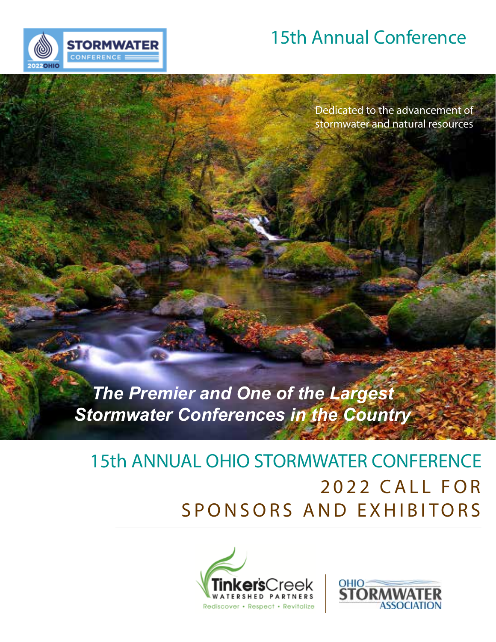

Dedicated to the advancement of stormwater and natural resources

# *The Premier and One of the Largest Stormwater Conferences in the Country*

**STORMWATER** 

CONFERENCE

# 2022 CALL FOR SPONSORS AND EXHIBITORS 15th ANNUAL OHIO STORMWATER CONFERENCE



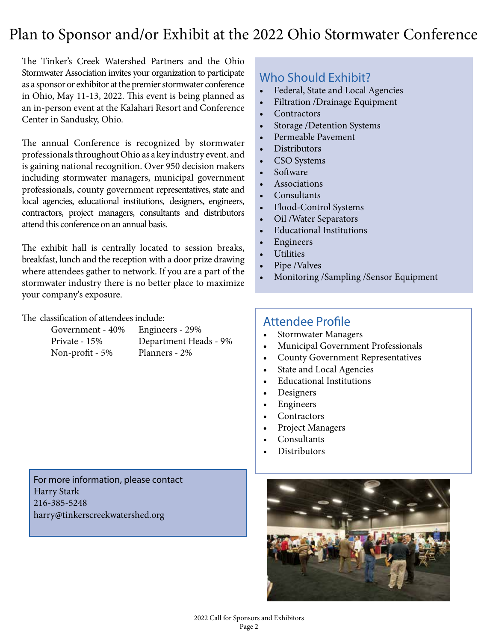### Plan to Sponsor and/or Exhibit at the 2022 Ohio Stormwater Conference

The Tinker's Creek Watershed Partners and the Ohio Stormwater Association invites your organization to participate as a sponsor or exhibitor at the premier stormwater conference in Ohio, May 11-13, 2022. This event is being planned as an in-person event at the Kalahari Resort and Conference Center in Sandusky, Ohio.

The annual Conference is recognized by stormwater professionals throughout Ohio as a key industry event. and is gaining national recognition. Over 950 decision makers including stormwater managers, municipal government professionals, county government representatives, state and local agencies, educational institutions, designers, engineers, contractors, project managers, consultants and distributors attend this conference on an annual basis.

The exhibit hall is centrally located to session breaks, breakfast, lunch and the reception with a door prize drawing where attendees gather to network. If you are a part of the stormwater industry there is no better place to maximize your company's exposure.

The classification of attendees include:

| Government - 40 |  |  |
|-----------------|--|--|
| Private - 15%   |  |  |
| Non-profit - 5% |  |  |

 $%$  Engineers - 29% Department Heads - 9% Planners - 2%

#### Who Should Exhibit?

- Federal, State and Local Agencies
- Filtration /Drainage Equipment
- **Contractors**
- Storage /Detention Systems
- Permeable Pavement
- Distributors
- CSO Systems
- Software
- **Associations**
- Consultants
- Flood-Control Systems
- Oil /Water Separators
- Educational Institutions
- **Engineers**
- **Utilities**
- Pipe /Valves
- Monitoring /Sampling /Sensor Equipment

#### Attendee Profile

- Stormwater Managers
- Municipal Government Professionals
- County Government Representatives
- State and Local Agencies
- Educational Institutions
- Designers
- Engineers
- Contractors
- Project Managers
- Consultants
- **Distributors**

For more information, please contact Harry Stark 216-385-5248 harry@tinkerscreekwatershed.org

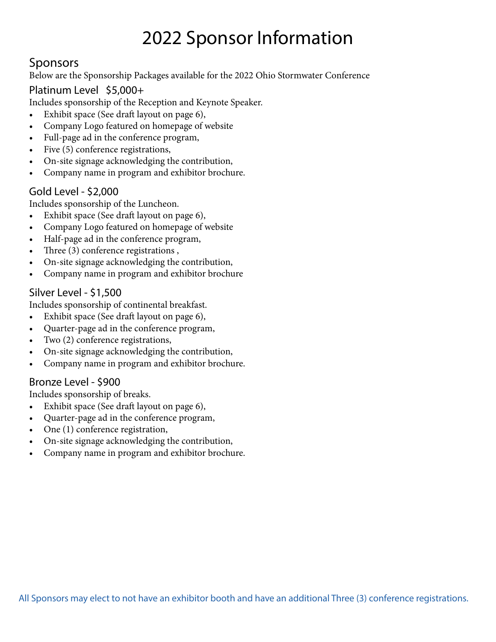## 2022 Sponsor Information

#### Sponsors

Below are the Sponsorship Packages available for the 2022 Ohio Stormwater Conference

#### Platinum Level \$5,000+

Includes sponsorship of the Reception and Keynote Speaker.

- Exhibit space (See draft layout on page 6),
- Company Logo featured on homepage of website
- Full-page ad in the conference program,
- Five (5) conference registrations,
- On-site signage acknowledging the contribution,
- Company name in program and exhibitor brochure.

#### Gold Level - \$2,000

Includes sponsorship of the Luncheon.

- Exhibit space (See draft layout on page 6),
- Company Logo featured on homepage of website
- Half-page ad in the conference program,
- Three (3) conference registrations,
- On-site signage acknowledging the contribution,
- Company name in program and exhibitor brochure

#### Silver Level - \$1,500

Includes sponsorship of continental breakfast.

- Exhibit space (See draft layout on page 6),
- Quarter-page ad in the conference program,
- Two (2) conference registrations,
- On-site signage acknowledging the contribution,
- Company name in program and exhibitor brochure.

#### Bronze Level - \$900

Includes sponsorship of breaks.

- Exhibit space (See draft layout on page 6),
- Quarter-page ad in the conference program,
- One (1) conference registration,
- On-site signage acknowledging the contribution,
- Company name in program and exhibitor brochure.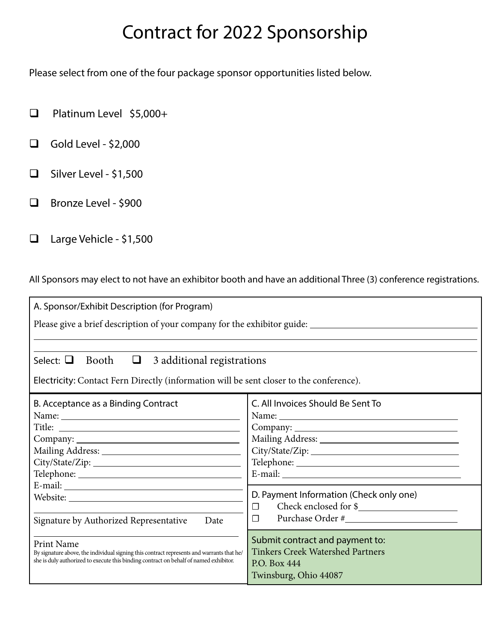## Contract for 2022 Sponsorship

Please select from one of the four package sponsor opportunities listed below.

- □ Platinum Level \$5,000+
- $\Box$  Gold Level \$2,000
- $\Box$  Silver Level \$1,500
- □ Bronze Level \$900
- $\Box$  Large Vehicle \$1,500

All Sponsors may elect to not have an exhibitor booth and have an additional Three (3) conference registrations.

| A. Sponsor/Exhibit Description (for Program)                                                                                                                                                            |                                                                                                                     |  |  |  |  |
|---------------------------------------------------------------------------------------------------------------------------------------------------------------------------------------------------------|---------------------------------------------------------------------------------------------------------------------|--|--|--|--|
| Please give a brief description of your company for the exhibitor guide: ___________________________                                                                                                    |                                                                                                                     |  |  |  |  |
|                                                                                                                                                                                                         |                                                                                                                     |  |  |  |  |
| Select: $\Box$<br>Booth<br>3 additional registrations<br>$\Box$                                                                                                                                         |                                                                                                                     |  |  |  |  |
| Electricity: Contact Fern Directly (information will be sent closer to the conference).                                                                                                                 |                                                                                                                     |  |  |  |  |
| B. Acceptance as a Binding Contract                                                                                                                                                                     | C. All Invoices Should Be Sent To                                                                                   |  |  |  |  |
|                                                                                                                                                                                                         |                                                                                                                     |  |  |  |  |
|                                                                                                                                                                                                         |                                                                                                                     |  |  |  |  |
|                                                                                                                                                                                                         |                                                                                                                     |  |  |  |  |
|                                                                                                                                                                                                         |                                                                                                                     |  |  |  |  |
|                                                                                                                                                                                                         |                                                                                                                     |  |  |  |  |
|                                                                                                                                                                                                         |                                                                                                                     |  |  |  |  |
|                                                                                                                                                                                                         |                                                                                                                     |  |  |  |  |
|                                                                                                                                                                                                         | D. Payment Information (Check only one)                                                                             |  |  |  |  |
|                                                                                                                                                                                                         | $\Box$                                                                                                              |  |  |  |  |
| Signature by Authorized Representative<br>Date                                                                                                                                                          | $\Box$                                                                                                              |  |  |  |  |
| <b>Print Name</b><br>By signature above, the individual signing this contract represents and warrants that he/<br>she is duly authorized to execute this binding contract on behalf of named exhibitor. | Submit contract and payment to:<br><b>Tinkers Creek Watershed Partners</b><br>P.O. Box 444<br>Twinsburg, Ohio 44087 |  |  |  |  |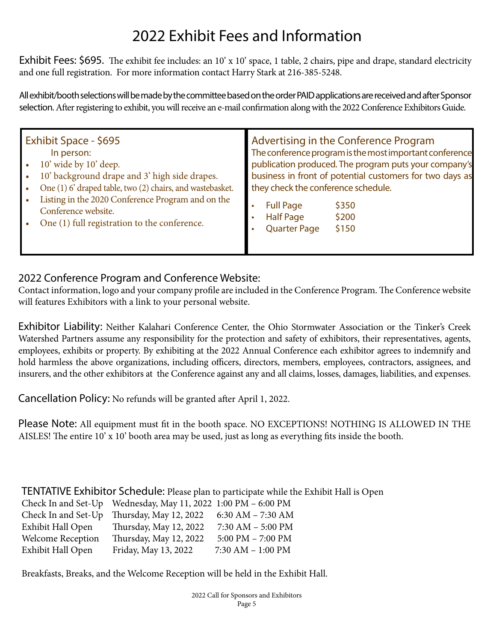## 2022 Exhibit Fees and Information

Exhibit Fees: \$695. The exhibit fee includes: an 10' x 10' space, 1 table, 2 chairs, pipe and drape, standard electricity and one full registration. For more information contact Harry Stark at 216-385-5248.

All exhibit/booth selections will be made by the committee based on the order PAID applications are received and after Sponsor selection. After registering to exhibit, you will receive an e-mail confirmation along with the 2022 Conference Exhibitors Guide.

| Exhibit Space - \$695<br>In person:<br>10' wide by 10' deep.<br>10' background drape and 3' high side drapes.<br>One (1) 6' draped table, two (2) chairs, and wastebasket.<br>Listing in the 2020 Conference Program and on the | Advertising in the Conference Program<br>The conference program is the most important conference<br>publication produced. The program puts your company's<br>business in front of potential customers for two days as<br>they check the conference schedule. |  |
|---------------------------------------------------------------------------------------------------------------------------------------------------------------------------------------------------------------------------------|--------------------------------------------------------------------------------------------------------------------------------------------------------------------------------------------------------------------------------------------------------------|--|
| Conference website.<br>One (1) full registration to the conference.                                                                                                                                                             | <b>Full Page</b><br>\$350<br><b>Half Page</b><br>\$200<br><b>Quarter Page</b><br>\$150                                                                                                                                                                       |  |

#### 2022 Conference Program and Conference Website:

Contact information, logo and your company profile are included in the Conference Program. The Conference website will features Exhibitors with a link to your personal website.

Exhibitor Liability: Neither Kalahari Conference Center, the Ohio Stormwater Association or the Tinker's Creek Watershed Partners assume any responsibility for the protection and safety of exhibitors, their representatives, agents, employees, exhibits or property. By exhibiting at the 2022 Annual Conference each exhibitor agrees to indemnify and hold harmless the above organizations, including officers, directors, members, employees, contractors, assignees, and insurers, and the other exhibitors at the Conference against any and all claims, losses, damages, liabilities, and expenses.

Cancellation Policy: No refunds will be granted after April 1, 2022.

Please Note: All equipment must fit in the booth space. NO EXCEPTIONS! NOTHING IS ALLOWED IN THE AISLES! The entire 10' x 10' booth area may be used, just as long as everything fits inside the booth.

TENTATIVE Exhibitor Schedule: Please plan to participate while the Exhibit Hall is Open

|                          | Check In and Set-Up Wednesday, May 11, 2022 1:00 PM - 6:00 PM |                       |
|--------------------------|---------------------------------------------------------------|-----------------------|
| Check In and Set-Up      | Thursday, May 12, 2022                                        | $6:30$ AM $- 7:30$ AM |
| Exhibit Hall Open        | Thursday, May 12, 2022                                        | $7:30$ AM $-5:00$ PM  |
| <b>Welcome Reception</b> | Thursday, May 12, 2022                                        | 5:00 PM $-$ 7:00 PM   |
| Exhibit Hall Open        | Friday, May 13, 2022                                          | $7:30$ AM $- 1:00$ PM |

Breakfasts, Breaks, and the Welcome Reception will be held in the Exhibit Hall.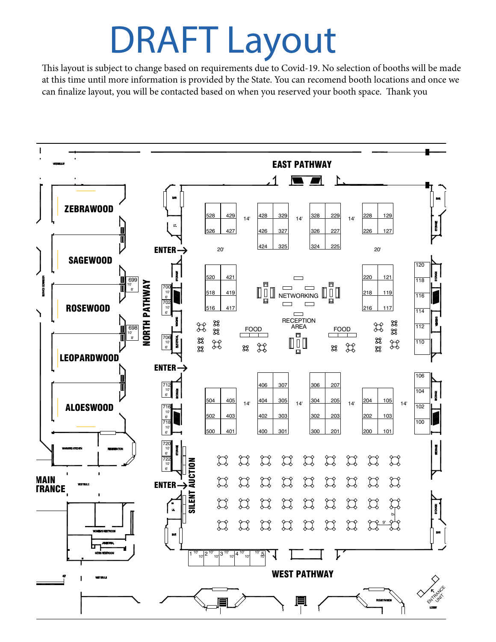# DRAFT Layout

This layout is subject to change based on requirements due to Covid-19. No selection of booths will be made at this time until more information is provided by the State. You can recomend booth locations and once we can finalize layout, you will be contacted based on when you reserved your booth space. Thank you